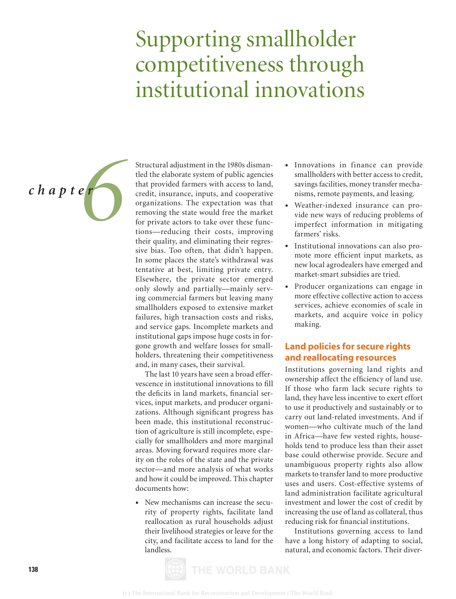# Supporting smallholder competitiveness through institutional innovations



**6** Structural adjustment in the 1980s dismantled the elaborate system of public agencies that provided farmers with access to land, credit, insurance, inputs, and cooperative organizations. The expectation was that removi tled the elaborate system of public agencies that provided farmers with access to land, credit, insurance, inputs, and cooperative organizations. The expectation was that removing the state would free the market for private actors to take over these functions—reducing their costs, improving their quality, and eliminating their regressive bias. Too often, that didn't happen. In some places the state's withdrawal was tentative at best, limiting private entry. Elsewhere, the private sector emerged only slowly and partially—mainly serving commercial farmers but leaving many smallholders exposed to extensive market failures, high transaction costs and risks, and service gaps. Incomplete markets and institutional gaps impose huge costs in forgone growth and welfare losses for smallholders, threatening their competitiveness and, in many cases, their survival.

The last 10 years have seen a broad effervescence in institutional innovations to fill the deficits in land markets, financial services, input markets, and producer organizations. Although significant progress has been made, this institutional reconstruction of agriculture is still incomplete, especially for smallholders and more marginal areas. Moving forward requires more clarity on the roles of the state and the private sector—and more analysis of what works and how it could be improved. This chapter documents how:

• New mechanisms can increase the security of property rights, facilitate land reallocation as rural households adjust their livelihood strategies or leave for the city, and facilitate access to land for the landless.

- Innovations in finance can provide smallholders with better access to credit, savings facilities, money transfer mechanisms, remote payments, and leasing.
- Weather-indexed insurance can provide new ways of reducing problems of imperfect information in mitigating farmers' risks.
- Institutional innovations can also promote more efficient input markets, as new local agrodealers have emerged and market-smart subsidies are tried.
- Producer organizations can engage in more effective collective action to access services, achieve economies of scale in markets, and acquire voice in policy making.

# **Land policies for secure rights and reallocating resources**

Institutions governing land rights and ownership affect the efficiency of land use. If those who farm lack secure rights to land, they have less incentive to exert effort to use it productively and sustainably or to carry out land-related investments. And if women—who cultivate much of the land in Africa—have few vested rights, households tend to produce less than their asset base could otherwise provide. Secure and unambiguous property rights also allow markets to transfer land to more productive uses and users. Cost-effective systems of land administration facilitate agricultural investment and lower the cost of credit by increasing the use of land as collateral, thus reducing risk for financial institutions.

Institutions governing access to land have a long history of adapting to social, natural, and economic factors. Their diver-

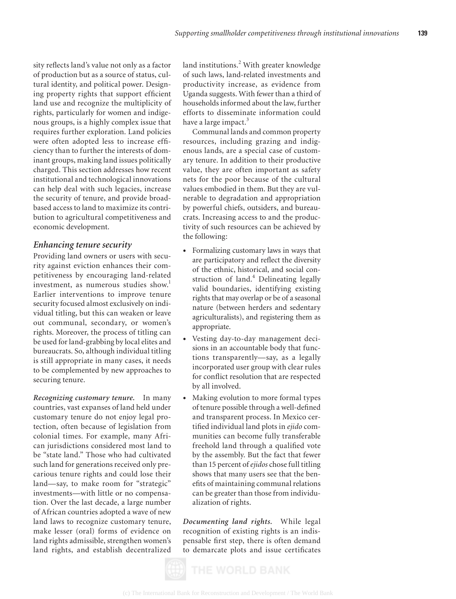sity reflects land's value not only as a factor of production but as a source of status, cultural identity, and political power. Designing property rights that support efficient land use and recognize the multiplicity of rights, particularly for women and indigenous groups, is a highly complex issue that requires further exploration. Land policies were often adopted less to increase efficiency than to further the interests of dominant groups, making land issues politically charged. This section addresses how recent institutional and technological innovations can help deal with such legacies, increase the security of tenure, and provide broadbased access to land to maximize its contribution to agricultural competitiveness and economic development.

#### *Enhancing tenure security*

Providing land owners or users with security against eviction enhances their competitiveness by encouraging land-related investment, as numerous studies show.<sup>1</sup> Earlier interventions to improve tenure security focused almost exclusively on individual titling, but this can weaken or leave out communal, secondary, or women's rights. Moreover, the process of titling can be used for land-grabbing by local elites and bureaucrats. So, although individual titling is still appropriate in many cases, it needs to be complemented by new approaches to securing tenure.

*Recognizing customary tenure.* In many countries, vast expanses of land held under customary tenure do not enjoy legal protection, often because of legislation from colonial times. For example, many African jurisdictions considered most land to be "state land." Those who had cultivated such land for generations received only precarious tenure rights and could lose their land—say, to make room for "strategic" investments—with little or no compensation. Over the last decade, a large number of African countries adopted a wave of new land laws to recognize customary tenure, make lesser (oral) forms of evidence on land rights admissible, strengthen women's land rights, and establish decentralized

land institutions.<sup>2</sup> With greater knowledge of such laws, land-related investments and productivity increase, as evidence from Uganda suggests. With fewer than a third of households informed about the law, further efforts to disseminate information could have a large impact. $3$ 

Communal lands and common property resources, including grazing and indigenous lands, are a special case of customary tenure. In addition to their productive value, they are often important as safety nets for the poor because of the cultural values embodied in them. But they are vulnerable to degradation and appropriation by powerful chiefs, outsiders, and bureaucrats. Increasing access to and the productivity of such resources can be achieved by the following:

- Formalizing customary laws in ways that are participatory and reflect the diversity of the ethnic, historical, and social construction of land.<sup>4</sup> Delineating legally valid boundaries, identifying existing rights that may overlap or be of a seasonal nature (between herders and sedentary agriculturalists), and registering them as appropriate.
- Vesting day-to-day management decisions in an accountable body that functions transparently—say, as a legally incorporated user group with clear rules for conflict resolution that are respected by all involved.
- Making evolution to more formal types of tenure possible through a well-defined and transparent process. In Mexico certified individual land plots in ejido communities can become fully transferable freehold land through a qualified vote by the assembly. But the fact that fewer than 15 percent of *ejidos* chose full titling shows that many users see that the benefits of maintaining communal relations can be greater than those from individualization of rights.

*Documenting land rights.* While legal recognition of existing rights is an indispensable first step, there is often demand to demarcate plots and issue certificates

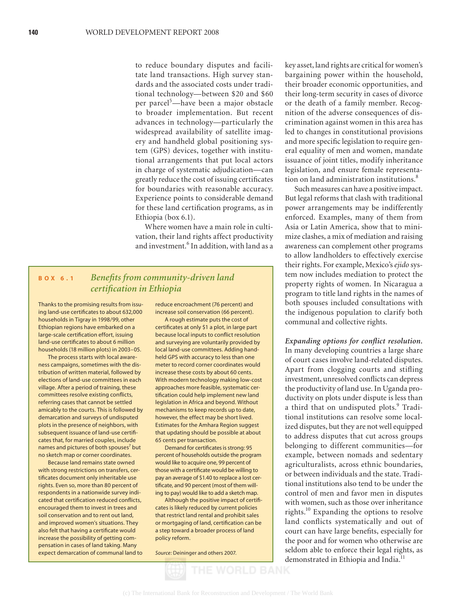to reduce boundary disputes and facilitate land transactions. High survey standards and the associated costs under traditional technology—between \$20 and \$60 per parcel<sup>5</sup>—have been a major obstacle to broader implementation. But recent advances in technology—particularly the widespread availability of satellite imagery and handheld global positioning system (GPS) devices, together with institutional arrangements that put local actors in charge of systematic adjudication—can greatly reduce the cost of issuing certificates for boundaries with reasonable accuracy. Experience points to considerable demand for these land certification programs, as in Ethiopia (box 6.1).

Where women have a main role in cultivation, their land rights affect productivity and investment.<sup>6</sup> In addition, with land as a

# **BOX 6.1** Benefits from community-driven land *certifi cation in Ethiopia*

Thanks to the promising results from issuing land-use certificates to about 632,000 households in Tigray in 1998/99, other Ethiopian regions have embarked on a large-scale certification effort, issuing land-use certificates to about 6 million households (18 million plots) in 2003–05.

The process starts with local awareness campaigns, sometimes with the distribution of written material, followed by elections of land-use committees in each village. After a period of training, these committees resolve existing conflicts, referring cases that cannot be settled amicably to the courts. This is followed by demarcation and surveys of undisputed plots in the presence of neighbors, with subsequent issuance of land-use certificates that, for married couples, include names and pictures of both spouses<sup>7</sup> but no sketch map or corner coordinates.

Because land remains state owned with strong restrictions on transfers, certificates document only inheritable use rights. Even so, more than 80 percent of respondents in a nationwide survey indicated that certification reduced conflicts, encouraged them to invest in trees and soil conservation and to rent out land, and improved women's situations. They also felt that having a certificate would increase the possibility of getting compensation in cases of land taking. Many expect demarcation of communal land to reduce encroachment (76 percent) and increase soil conservation (66 percent).

A rough estimate puts the cost of certificates at only \$1 a plot, in large part because local inputs to conflict resolution and surveying are voluntarily provided by local land-use committees. Adding handheld GPS with accuracy to less than one meter to record corner coordinates would increase these costs by about 60 cents. With modern technology making low-cost approaches more feasible, systematic certification could help implement new land legislation in Africa and beyond. Without mechanisms to keep records up to date, however, the effect may be short lived. Estimates for the Amhara Region suggest that updating should be possible at about 65 cents per transaction.

Demand for certificates is strong: 95 percent of households outside the program would like to acquire one, 99 percent of those with a certificate would be willing to pay an average of \$1.40 to replace a lost certificate, and 90 percent (most of them willing to pay) would like to add a sketch map.

Although the positive impact of certificates is likely reduced by current policies that restrict land rental and prohibit sales or mortgaging of land, certification can be a step toward a broader process of land policy reform.

*Source:* Deininger and others 2007.



key asset, land rights are critical for women's

But legal reforms that clash with traditional power arrangements may be indifferently enforced. Examples, many of them from Asia or Latin America, show that to minimize clashes, a mix of mediation and raising awareness can complement other programs to allow landholders to effectively exercise their rights. For example, Mexico's *ejido* system now includes mediation to protect the property rights of women. In Nicaragua a program to title land rights in the names of both spouses included consultations with the indigenous population to clarify both communal and collective rights.

*Expanding options for conflict resolution.* In many developing countries a large share of court cases involve land-related disputes. Apart from clogging courts and stifling investment, unresolved conflicts can depress the productivity of land use. In Uganda productivity on plots under dispute is less than a third that on undisputed plots.<sup>9</sup> Traditional institutions can resolve some localized disputes, but they are not well equipped to address disputes that cut across groups belonging to different communities—for example, between nomads and sedentary agriculturalists, across ethnic boundaries, or between individuals and the state. Traditional institutions also tend to be under the control of men and favor men in disputes with women, such as those over inheritance rights.10 Expanding the options to resolve land conflicts systematically and out of court can have large benefits, especially for the poor and for women who otherwise are seldom able to enforce their legal rights, as demonstrated in Ethiopia and India.<sup>11</sup>

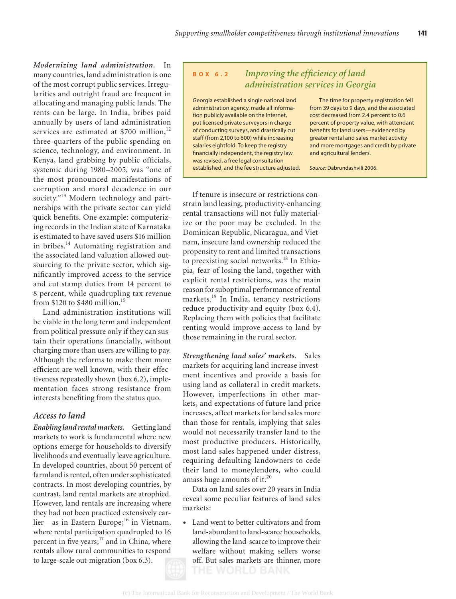*Modernizing land administration.* In many countries, land administration is one of the most corrupt public services. Irregularities and outright fraud are frequent in allocating and managing public lands. The rents can be large. In India, bribes paid annually by users of land administration services are estimated at  $$700$  million,<sup>12</sup> three-quarters of the public spending on science, technology, and environment. In Kenya, land grabbing by public officials, systemic during 1980–2005, was "one of the most pronounced manifestations of corruption and moral decadence in our society."<sup>13</sup> Modern technology and partnerships with the private sector can yield quick benefits. One example: computerizing records in the Indian state of Karnataka is estimated to have saved users \$16 million in bribes.<sup>14</sup> Automating registration and the associated land valuation allowed outsourcing to the private sector, which significantly improved access to the service and cut stamp duties from 14 percent to 8 percent, while quadrupling tax revenue from \$120 to \$480 million.15

Land administration institutions will be viable in the long term and independent from political pressure only if they can sustain their operations financially, without charging more than users are willing to pay. Although the reforms to make them more efficient are well known, with their effectiveness repeatedly shown (box 6.2), implementation faces strong resistance from interests benefiting from the status quo.

#### *Access to land*

*Enabling land rental markets.* Getting land markets to work is fundamental where new options emerge for households to diversify livelihoods and eventually leave agriculture. In developed countries, about 50 percent of farmland is rented, often under sophisticated contracts. In most developing countries, by contrast, land rental markets are atrophied. However, land rentals are increasing where they had not been practiced extensively earlier—as in Eastern Europe;<sup>16</sup> in Vietnam, where rental participation quadrupled to 16 percent in five years; $17$  and in China, where rentals allow rural communities to respond to large-scale out-migration (box 6.3).

# **BOX 6.2** Improving the efficiency of land *administration services in Georgia*

Georgia established a single national land administration agency, made all information publicly available on the Internet, put licensed private surveyors in charge of conducting surveys, and drastically cut staff (from 2,100 to 600) while increasing salaries eightfold. To keep the registry financially independent, the registry law was revised, a free legal consultation established, and the fee structure adjusted.

The time for property registration fell from 39 days to 9 days, and the associated cost decreased from 2.4 percent to 0.6 percent of property value, with attendant benefits for land users-evidenced by greater rental and sales market activity and more mortgages and credit by private and agricultural lenders.

*Source:* Dabrundashvili 2006.

If tenure is insecure or restrictions constrain land leasing, productivity-enhancing rental transactions will not fully materialize or the poor may be excluded. In the Dominican Republic, Nicaragua, and Vietnam, insecure land ownership reduced the propensity to rent and limited transactions to preexisting social networks. $^{18}$  In Ethiopia, fear of losing the land, together with explicit rental restrictions, was the main reason for suboptimal performance of rental markets.<sup>19</sup> In India, tenancy restrictions reduce productivity and equity (box 6.4). Replacing them with policies that facilitate renting would improve access to land by those remaining in the rural sector.

*Strengthening land sales' markets.* Sales markets for acquiring land increase investment incentives and provide a basis for using land as collateral in credit markets. However, imperfections in other markets, and expectations of future land price increases, affect markets for land sales more than those for rentals, implying that sales would not necessarily transfer land to the most productive producers. Historically, most land sales happened under distress, requiring defaulting landowners to cede their land to moneylenders, who could amass huge amounts of it.<sup>20</sup>

Data on land sales over 20 years in India reveal some peculiar features of land sales markets:

• Land went to better cultivators and from land-abundant to land-scarce households, allowing the land-scarce to improve their welfare without making sellers worse off. But sales markets are thinner, more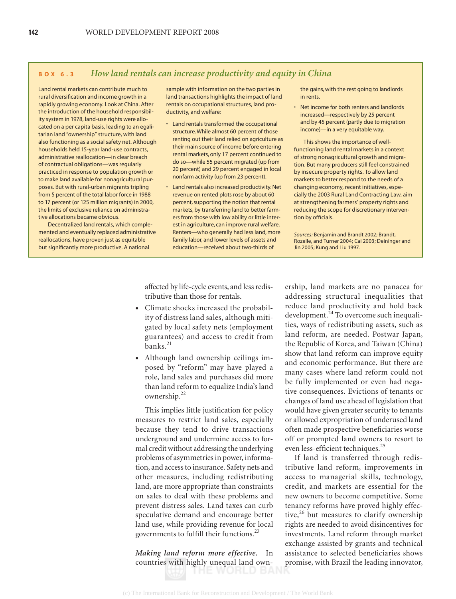## **BOX 6.3** *How land rentals can increase productivity and equity in China*

Land rental markets can contribute much to rural diversification and income growth in a rapidly growing economy. Look at China. After the introduction of the household responsibility system in 1978, land-use rights were allocated on a per capita basis, leading to an egalitarian land "ownership" structure, with land also functioning as a social safety net. Although households held 15-year land-use contracts, administrative reallocation—in clear breach of contractual obligations—was regularly practiced in response to population growth or to make land available for nonagricultural purposes. But with rural-urban migrants tripling from 5 percent of the total labor force in 1988 to 17 percent (or 125 million migrants) in 2000, the limits of exclusive reliance on administrative allocations became obvious.

Decentralized land rentals, which complemented and eventually replaced administrative reallocations, have proven just as equitable but significantly more productive. A national

sample with information on the two parties in land transactions highlights the impact of land rentals on occupational structures, land productivity, and welfare:

- Land rentals transformed the occupational structure. While almost 60 percent of those renting out their land relied on agriculture as their main source of income before entering rental markets, only 17 percent continued to do so—while 55 percent migrated (up from 20 percent) and 29 percent engaged in local nonfarm activity (up from 23 percent).
- Land rentals also increased productivity. Net revenue on rented plots rose by about 60 percent, supporting the notion that rental markets, by transferring land to better farmers from those with low ability or little interest in agriculture, can improve rural welfare. Renters—who generally had less land, more family labor, and lower levels of assets and education—received about two-thirds of

the gains, with the rest going to landlords in rents.

• Net income for both renters and landlords increased—respectively by 25 percent and by 45 percent (partly due to migration income)—in a very equitable way.

This shows the importance of wellfunctioning land rental markets in a context of strong nonagricultural growth and migration. But many producers still feel constrained by insecure property rights. To allow land markets to better respond to the needs of a changing economy, recent initiatives, especially the 2003 Rural Land Contracting Law, aim at strengthening farmers' property rights and reducing the scope for discretionary intervention by officials.

*Sources:* Benjamin and Brandt 2002; Brandt, Rozelle, and Turner 2004; Cai 2003; Deininger and Jin 2005; Kung and Liu 1997.

affected by life-cycle events, and less redistributive than those for rentals.

- Climate shocks increased the probability of distress land sales, although mitigated by local safety nets (employment guarantees) and access to credit from banks. $^{21}$
- Although land ownership ceilings imposed by "reform" may have played a role, land sales and purchases did more than land reform to equalize India's land ownership.<sup>22</sup>

This implies little justification for policy measures to restrict land sales, especially because they tend to drive transactions underground and undermine access to formal credit without addressing the underlying problems of asymmetries in power, information, and access to insurance. Safety nets and other measures, including redistributing land, are more appropriate than constraints on sales to deal with these problems and prevent distress sales. Land taxes can curb speculative demand and encourage better land use, while providing revenue for local governments to fulfill their functions. $^{23}$ 

*Making land reform more effective.* In countries with highly unequal land own-

ership, land markets are no panacea for addressing structural inequalities that reduce land productivity and hold back development. ${}^{24}$  To overcome such inequalities, ways of redistributing assets, such as land reform, are needed. Postwar Japan, the Republic of Korea, and Taiwan (China) show that land reform can improve equity and economic performance. But there are many cases where land reform could not be fully implemented or even had negative consequences. Evictions of tenants or changes of land use ahead of legislation that would have given greater security to tenants or allowed expropriation of underused land often made prospective beneficiaries worse off or prompted land owners to resort to even less-efficient techniques.<sup>25</sup>

If land is transferred through redistributive land reform, improvements in access to managerial skills, technology, credit, and markets are essential for the new owners to become competitive. Some tenancy reforms have proved highly effective, $^{26}$  but measures to clarify ownership rights are needed to avoid disincentives for investments. Land reform through market exchange assisted by grants and technical assistance to selected beneficiaries shows promise, with Brazil the leading innovator,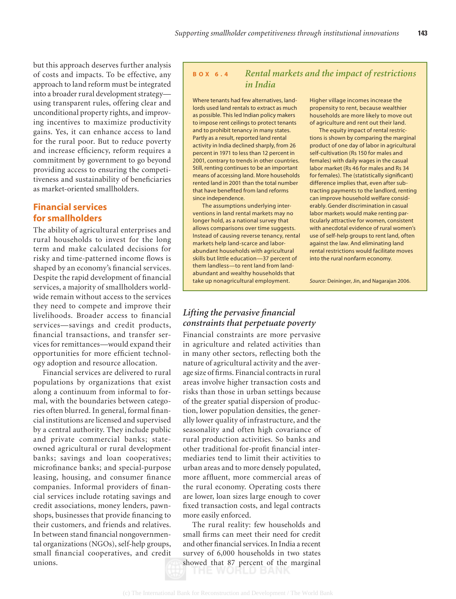but this approach deserves further analysis of costs and impacts. To be effective, any approach to land reform must be integrated into a broader rural development strategy using transparent rules, offering clear and unconditional property rights, and improving incentives to maximize productivity gains. Yes, it can enhance access to land for the rural poor. But to reduce poverty and increase efficiency, reform requires a commitment by government to go beyond providing access to ensuring the competitiveness and sustainability of beneficiaries as market-oriented smallholders.

# **Financial services for smallholders**

The ability of agricultural enterprises and rural households to invest for the long term and make calculated decisions for risky and time-patterned income flows is shaped by an economy's financial services. Despite the rapid development of financial services, a majority of smallholders worldwide remain without access to the services they need to compete and improve their livelihoods. Broader access to financial services—savings and credit products, financial transactions, and transfer services for remittances—would expand their opportunities for more efficient technology adoption and resource allocation.

Financial services are delivered to rural populations by organizations that exist along a continuum from informal to formal, with the boundaries between categories often blurred. In general, formal financial institutions are licensed and supervised by a central authority. They include public and private commercial banks; stateowned agricultural or rural development banks; savings and loan cooperatives; microfinance banks; and special-purpose leasing, housing, and consumer finance companies. Informal providers of financial services include rotating savings and credit associations, money lenders, pawnshops, businesses that provide financing to their customers, and friends and relatives. In between stand financial nongovernmental organizations (NGOs), self-help groups, small financial cooperatives, and credit unions.

## **BOX 6.4** *Rental markets and the impact of restrictions in India*

Where tenants had few alternatives, landlords used land rentals to extract as much as possible. This led Indian policy makers to impose rent ceilings to protect tenants and to prohibit tenancy in many states. Partly as a result, reported land rental activity in India declined sharply, from 26 percent in 1971 to less than 12 percent in 2001, contrary to trends in other countries. Still, renting continues to be an important means of accessing land. More households rented land in 2001 than the total number that have benefited from land reforms since independence.

The assumptions underlying interventions in land rental markets may no longer hold, as a national survey that allows comparisons over time suggests. Instead of causing reverse tenancy, rental markets help land-scarce and laborabundant households with agricultural skills but little education—37 percent of them landless—to rent land from landabundant and wealthy households that take up nonagricultural employment.

Higher village incomes increase the propensity to rent, because wealthier households are more likely to move out of agriculture and rent out their land.

The equity impact of rental restrictions is shown by comparing the marginal product of one day of labor in agricultural self-cultivation (Rs 150 for males and females) with daily wages in the casual labor market (Rs 46 for males and Rs 34 for females). The (statistically significant) difference implies that, even after subtracting payments to the landlord, renting can improve household welfare considerably. Gender discrimination in casual labor markets would make renting particularly attractive for women, consistent with anecdotal evidence of rural women's use of self-help groups to rent land, often against the law. And eliminating land rental restrictions would facilitate moves into the rural nonfarm economy.

*Source:* Deininger, Jin, and Nagarajan 2006.

# *Lifting the pervasive financial constraints that perpetuate poverty*

Financial constraints are more pervasive in agriculture and related activities than in many other sectors, reflecting both the nature of agricultural activity and the average size of firms. Financial contracts in rural areas involve higher transaction costs and risks than those in urban settings because of the greater spatial dispersion of production, lower population densities, the generally lower quality of infrastructure, and the seasonality and often high covariance of rural production activities. So banks and other traditional for-profit financial intermediaries tend to limit their activities to urban areas and to more densely populated, more affluent, more commercial areas of the rural economy. Operating costs there are lower, loan sizes large enough to cover fixed transaction costs, and legal contracts more easily enforced.

The rural reality: few households and small firms can meet their need for credit and other financial services. In India a recent survey of 6,000 households in two states showed that 87 percent of the marginal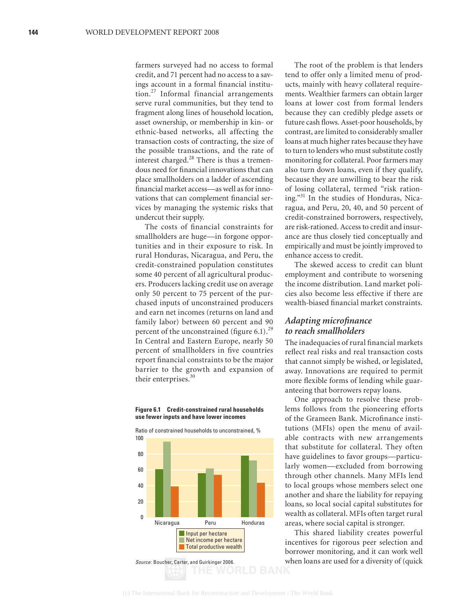farmers surveyed had no access to formal credit, and 71 percent had no access to a savings account in a formal financial institution. $^{27}$  Informal financial arrangements serve rural communities, but they tend to fragment along lines of household location, asset ownership, or membership in kin- or ethnic-based networks, all affecting the transaction costs of contracting, the size of the possible transactions, and the rate of interest charged. $^{28}$  There is thus a tremendous need for financial innovations that can place smallholders on a ladder of ascending financial market access-as well as for innovations that can complement financial services by managing the systemic risks that undercut their supply.

The costs of financial constraints for smallholders are huge—in forgone opportunities and in their exposure to risk. In rural Honduras, Nicaragua, and Peru, the credit-constrained population constitutes some 40 percent of all agricultural producers. Producers lacking credit use on average only 50 percent to 75 percent of the purchased inputs of unconstrained producers and earn net incomes (returns on land and family labor) between 60 percent and 90 percent of the unconstrained (figure 6.1).<sup>29</sup> In Central and Eastern Europe, nearly 50 percent of smallholders in five countries report financial constraints to be the major barrier to the growth and expansion of their enterprises.<sup>30</sup>

#### **Figure 6.1 Credit-constrained rural households use fewer inputs and have lower incomes**



The root of the problem is that lenders tend to offer only a limited menu of products, mainly with heavy collateral requirements. Wealthier farmers can obtain larger loans at lower cost from formal lenders because they can credibly pledge assets or future cash flows. Asset-poor households, by contrast, are limited to considerably smaller loans at much higher rates because they have to turn to lenders who must substitute costly monitoring for collateral. Poor farmers may also turn down loans, even if they qualify, because they are unwilling to bear the risk of losing collateral, termed "risk rationing."<sup>31</sup> In the studies of Honduras, Nicaragua, and Peru, 20, 40, and 50 percent of credit-constrained borrowers, respectively, are risk-rationed. Access to credit and insurance are thus closely tied conceptually and empirically and must be jointly improved to enhance access to credit.

The skewed access to credit can blunt employment and contribute to worsening the income distribution. Land market policies also become less effective if there are wealth-biased financial market constraints.

#### *Adapting microfi nance to reach smallholders*

The inadequacies of rural financial markets reflect real risks and real transaction costs that cannot simply be wished, or legislated, away. Innovations are required to permit more flexible forms of lending while guaranteeing that borrowers repay loans.

One approach to resolve these problems follows from the pioneering efforts of the Grameen Bank. Microfinance institutions (MFIs) open the menu of available contracts with new arrangements that substitute for collateral. They often have guidelines to favor groups—particularly women—excluded from borrowing through other channels. Many MFIs lend to local groups whose members select one another and share the liability for repaying loans, so local social capital substitutes for wealth as collateral. MFIs often target rural areas, where social capital is stronger.

This shared liability creates powerful incentives for rigorous peer selection and borrower monitoring, and it can work well when loans are used for a diversity of (quick

<sup>(</sup>c) The International Bank for Reconstruction and Development / The World Bank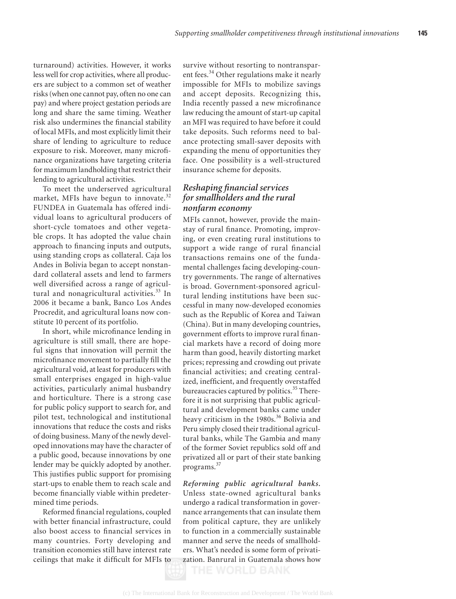turnaround) activities. However, it works less well for crop activities, where all producers are subject to a common set of weather risks (when one cannot pay, often no one can pay) and where project gestation periods are long and share the same timing. Weather risk also undermines the financial stability of local MFIs, and most explicitly limit their share of lending to agriculture to reduce exposure to risk. Moreover, many microfinance organizations have targeting criteria for maximum landholding that restrict their lending to agricultural activities.

To meet the underserved agricultural market, MFIs have begun to innovate.<sup>32</sup> FUNDEA in Guatemala has offered individual loans to agricultural producers of short-cycle tomatoes and other vegetable crops. It has adopted the value chain approach to financing inputs and outputs, using standing crops as collateral. Caja los Andes in Bolivia began to accept nonstandard collateral assets and lend to farmers well diversified across a range of agricultural and nonagricultural activities.<sup>33</sup> In 2006 it became a bank, Banco Los Andes Procredit, and agricultural loans now constitute 10 percent of its portfolio.

In short, while microfinance lending in agriculture is still small, there are hopeful signs that innovation will permit the microfinance movement to partially fill the agricultural void, at least for producers with small enterprises engaged in high-value activities, particularly animal husbandry and horticulture. There is a strong case for public policy support to search for, and pilot test, technological and institutional innovations that reduce the costs and risks of doing business. Many of the newly developed innovations may have the character of a public good, because innovations by one lender may be quickly adopted by another. This justifies public support for promising start-ups to enable them to reach scale and become financially viable within predetermined time periods.

Reformed financial regulations, coupled with better financial infrastructure, could also boost access to financial services in many countries. Forty developing and transition economies still have interest rate ceilings that make it difficult for MFIs to

survive without resorting to nontransparent fees.34 Other regulations make it nearly impossible for MFIs to mobilize savings and accept deposits. Recognizing this, India recently passed a new microfinance law reducing the amount of start-up capital an MFI was required to have before it could take deposits. Such reforms need to balance protecting small-saver deposits with expanding the menu of opportunities they face. One possibility is a well-structured insurance scheme for deposits.

## *Reshaping fi nancial services for smallholders and the rural nonfarm economy*

MFIs cannot, however, provide the mainstay of rural finance. Promoting, improving, or even creating rural institutions to support a wide range of rural financial transactions remains one of the fundamental challenges facing developing-country governments. The range of alternatives is broad. Government-sponsored agricultural lending institutions have been successful in many now-developed economies such as the Republic of Korea and Taiwan (China). But in many developing countries, government efforts to improve rural financial markets have a record of doing more harm than good, heavily distorting market prices; repressing and crowding out private financial activities; and creating centralized, inefficient, and frequently overstaffed bureaucracies captured by politics.<sup>35</sup> Therefore it is not surprising that public agricultural and development banks came under heavy criticism in the 1980s.<sup>36</sup> Bolivia and Peru simply closed their traditional agricultural banks, while The Gambia and many of the former Soviet republics sold off and privatized all or part of their state banking programs.<sup>37</sup>

*Reforming public agricultural banks.*  Unless state-owned agricultural banks undergo a radical transformation in governance arrangements that can insulate them from political capture, they are unlikely to function in a commercially sustainable manner and serve the needs of smallholders. What's needed is some form of privatization. Banrural in Guatemala shows how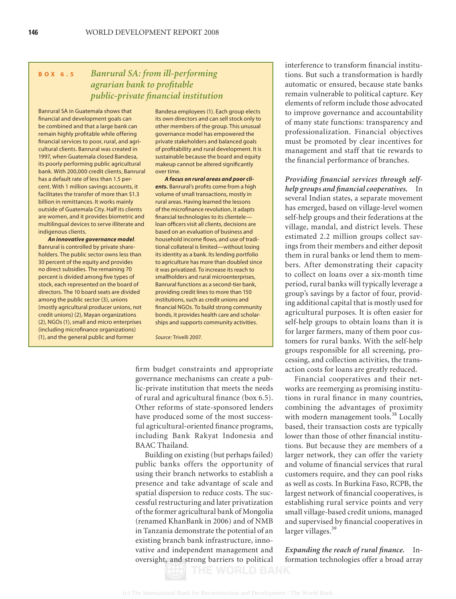# **BOX 6.5** *Banrural SA: from ill-performing agrarian bank to profi table public-private fi nancial institution*

Banrural SA in Guatemala shows that financial and development goals can be combined and that a large bank can remain highly profitable while offering financial services to poor, rural, and agricultural clients. Banrural was created in 1997, when Guatemala closed Bandesa, its poorly performing public agricultural bank. With 200,000 credit clients, Banrural has a default rate of less than 1.5 percent. With 1 million savings accounts, it facilitates the transfer of more than \$1.3 billion in remittances. It works mainly outside of Guatemala City. Half its clients are women, and it provides biometric and multilingual devices to serve illiterate and indigenous clients.

*An innovative governance model*. Banrural is controlled by private shareholders. The public sector owns less than 30 percent of the equity and provides no direct subsidies. The remaining 70 percent is divided among five types of stock, each represented on the board of directors. The 10 board seats are divided among the public sector (3), unions (mostly agricultural producer unions, not credit unions) (2), Mayan organizations (2), NGOs (1), small and micro enterprises (including microfinance organizations) (1), and the general public and former

Bandesa employees (1). Each group elects its own directors and can sell stock only to other members of the group. This unusual governance model has empowered the private stakeholders and balanced goals of profitability and rural development. It is sustainable because the board and equity makeup cannot be altered significantly over time.

*A focus on rural areas and poor cli*ents. Banrural's profits come from a high volume of small transactions, mostly in rural areas. Having learned the lessons of the microfinance revolution, it adapts financial technologies to its clienteleloan officers visit all clients, decisions are based on an evaluation of business and household income flows, and use of traditional collateral is limited—without losing its identity as a bank. Its lending portfolio to agriculture has more than doubled since it was privatized. To increase its reach to smallholders and rural microenterprises, Banrural functions as a second-tier bank, providing credit lines to more than 150 institutions, such as credit unions and financial NGOs. To build strong community bonds, it provides health care and scholarships and supports community activities.

*Source:* Trivelli 2007.

firm budget constraints and appropriate governance mechanisms can create a public-private institution that meets the needs of rural and agricultural finance (box 6.5). Other reforms of state-sponsored lenders have produced some of the most successful agricultural-oriented finance programs, including Bank Rakyat Indonesia and BAAC Thailand.

Building on existing (but perhaps failed) public banks offers the opportunity of using their branch networks to establish a presence and take advantage of scale and spatial dispersion to reduce costs. The successful restructuring and later privatization of the former agricultural bank of Mongolia (renamed KhanBank in 2006) and of NMB in Tanzania demonstrate the potential of an existing branch bank infrastructure, innovative and independent management and oversight, and strong barriers to political

interference to transform financial institutions. But such a transformation is hardly automatic or ensured, because state banks remain vulnerable to political capture. Key elements of reform include those advocated to improve governance and accountability of many state functions: transparency and professionalization. Financial objectives must be promoted by clear incentives for management and staff that tie rewards to the financial performance of branches.

Providing financial services through self*help groups and financial cooperatives.* In several Indian states, a separate movement has emerged, based on village-level women self-help groups and their federations at the village, mandal, and district levels. These estimated 2.2 million groups collect savings from their members and either deposit them in rural banks or lend them to members. After demonstrating their capacity to collect on loans over a six-month time period, rural banks will typically leverage a group's savings by a factor of four, providing additional capital that is mostly used for agricultural purposes. It is often easier for self-help groups to obtain loans than it is for larger farmers, many of them poor customers for rural banks. With the self-help groups responsible for all screening, processing, and collection activities, the transaction costs for loans are greatly reduced.

Financial cooperatives and their networks are reemerging as promising institutions in rural finance in many countries, combining the advantages of proximity with modern management tools.<sup>38</sup> Locally based, their transaction costs are typically lower than those of other financial institutions. But because they are members of a larger network, they can offer the variety and volume of financial services that rural customers require, and they can pool risks as well as costs. In Burkina Faso, RCPB, the largest network of financial cooperatives, is establishing rural service points and very small village-based credit unions, managed and supervised by financial cooperatives in larger villages. $39$ 

*Expanding the reach of rural finance.* Information technologies offer a broad array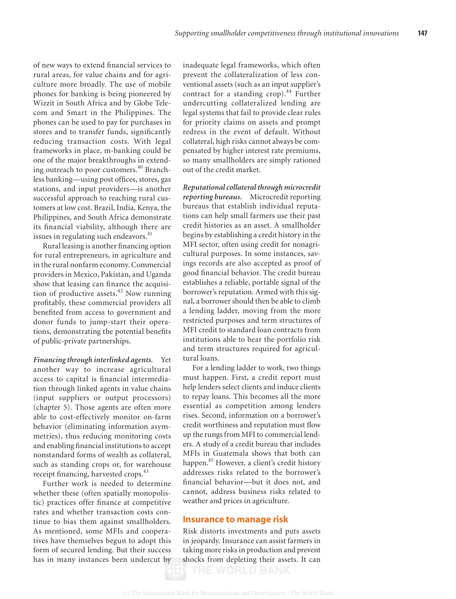of new ways to extend financial services to rural areas, for value chains and for agriculture more broadly. The use of mobile phones for banking is being pioneered by Wizzit in South Africa and by Globe Telecom and Smart in the Philippines. The phones can be used to pay for purchases in stores and to transfer funds, significantly reducing transaction costs. With legal frameworks in place, m-banking could be one of the major breakthroughs in extending outreach to poor customers.<sup>40</sup> Branchless banking—using post offices, stores, gas stations, and input providers—is another successful approach to reaching rural customers at low cost. Brazil, India, Kenya, the Philippines, and South Africa demonstrate its financial viability, although there are issues in regulating such endeavors.<sup>41</sup>

Rural leasing is another financing option for rural entrepreneurs, in agriculture and in the rural nonfarm economy. Commercial providers in Mexico, Pakistan, and Uganda show that leasing can finance the acquisition of productive assets.<sup>42</sup> Now running profitably, these commercial providers all benefited from access to government and donor funds to jump-start their operations, demonstrating the potential benefits of public-private partnerships.

*Financing through interlinked agents.* Yet another way to increase agricultural access to capital is financial intermediation through linked agents in value chains (input suppliers or output processors) (chapter 5). Those agents are often more able to cost-effectively monitor on-farm behavior (eliminating information asymmetries), thus reducing monitoring costs and enabling financial institutions to accept nonstandard forms of wealth as collateral, such as standing crops or, for warehouse receipt financing, harvested crops.<sup>43</sup>

Further work is needed to determine whether these (often spatially monopolistic) practices offer finance at competitive rates and whether transaction costs continue to bias them against smallholders. As mentioned, some MFIs and cooperatives have themselves begun to adopt this form of secured lending. But their success has in many instances been undercut by inadequate legal frameworks, which often prevent the collateralization of less conventional assets (such as an input supplier's contract for a standing crop). $44$  Further undercutting collateralized lending are legal systems that fail to provide clear rules for priority claims on assets and prompt redress in the event of default. Without collateral, high risks cannot always be compensated by higher interest rate premiums, so many smallholders are simply rationed out of the credit market.

*Reputational collateral through microcredit reporting bureaus.* Microcredit reporting bureaus that establish individual reputations can help small farmers use their past credit histories as an asset. A smallholder begins by establishing a credit history in the MFI sector, often using credit for nonagricultural purposes. In some instances, savings records are also accepted as proof of good financial behavior. The credit bureau establishes a reliable, portable signal of the borrower's reputation. Armed with this signal, a borrower should then be able to climb a lending ladder, moving from the more restricted purposes and term structures of MFI credit to standard loan contracts from institutions able to bear the portfolio risk and term structures required for agricultural loans.

For a lending ladder to work, two things must happen. First, a credit report must help lenders select clients and induce clients to repay loans. This becomes all the more essential as competition among lenders rises. Second, information on a borrower's credit worthiness and reputation must flow up the rungs from MFI to commercial lenders. A study of a credit bureau that includes MFIs in Guatemala shows that both can happen.<sup>45</sup> However, a client's credit history addresses risks related to the borrower's financial behavior—but it does not, and cannot, address business risks related to weather and prices in agriculture.

#### **Insurance to manage risk**

Risk distorts investments and puts assets in jeopardy. Insurance can assist farmers in taking more risks in production and prevent shocks from depleting their assets. It can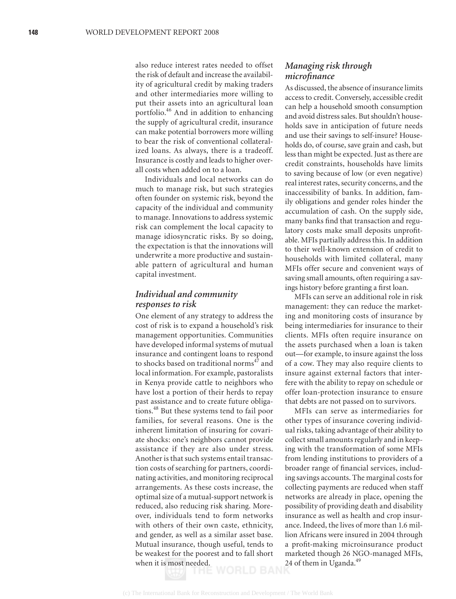also reduce interest rates needed to offset the risk of default and increase the availability of agricultural credit by making traders and other intermediaries more willing to put their assets into an agricultural loan portfolio.<sup>46</sup> And in addition to enhancing the supply of agricultural credit, insurance can make potential borrowers more willing to bear the risk of conventional collateralized loans. As always, there is a tradeoff. Insurance is costly and leads to higher overall costs when added on to a loan.

Individuals and local networks can do much to manage risk, but such strategies often founder on systemic risk, beyond the capacity of the individual and community to manage. Innovations to address systemic risk can complement the local capacity to manage idiosyncratic risks. By so doing, the expectation is that the innovations will underwrite a more productive and sustainable pattern of agricultural and human capital investment.

## *Individual and community responses to risk*

One element of any strategy to address the cost of risk is to expand a household's risk management opportunities. Communities have developed informal systems of mutual insurance and contingent loans to respond to shocks based on traditional norms<sup>47</sup> and local information. For example, pastoralists in Kenya provide cattle to neighbors who have lost a portion of their herds to repay past assistance and to create future obligations.48 But these systems tend to fail poor families, for several reasons. One is the inherent limitation of insuring for covariate shocks: one's neighbors cannot provide assistance if they are also under stress. Another is that such systems entail transaction costs of searching for partners, coordinating activities, and monitoring reciprocal arrangements. As these costs increase, the optimal size of a mutual-support network is reduced, also reducing risk sharing. Moreover, individuals tend to form networks with others of their own caste, ethnicity, and gender, as well as a similar asset base. Mutual insurance, though useful, tends to be weakest for the poorest and to fall short when it is most needed.

## *Managing risk through microfi nance*

As discussed, the absence of insurance limits access to credit. Conversely, accessible credit can help a household smooth consumption and avoid distress sales. But shouldn't households save in anticipation of future needs and use their savings to self-insure? Households do, of course, save grain and cash, but less than might be expected. Just as there are credit constraints, households have limits to saving because of low (or even negative) real interest rates, security concerns, and the inaccessibility of banks. In addition, family obligations and gender roles hinder the accumulation of cash. On the supply side, many banks find that transaction and regulatory costs make small deposits unprofitable. MFIs partially address this. In addition to their well-known extension of credit to households with limited collateral, many MFIs offer secure and convenient ways of saving small amounts, often requiring a savings history before granting a first loan.

MFIs can serve an additional role in risk management: they can reduce the marketing and monitoring costs of insurance by being intermediaries for insurance to their clients. MFIs often require insurance on the assets purchased when a loan is taken out—for example, to insure against the loss of a cow. They may also require clients to insure against external factors that interfere with the ability to repay on schedule or offer loan-protection insurance to ensure that debts are not passed on to survivors.

MFIs can serve as intermediaries for other types of insurance covering individual risks, taking advantage of their ability to collect small amounts regularly and in keeping with the transformation of some MFIs from lending institutions to providers of a broader range of financial services, including savings accounts. The marginal costs for collecting payments are reduced when staff networks are already in place, opening the possibility of providing death and disability insurance as well as health and crop insurance. Indeed, the lives of more than 1.6 million Africans were insured in 2004 through a profit-making microinsurance product marketed though 26 NGO-managed MFIs,  $WORLD$  BAN  $^{24}$  of them in Uganda.<sup>49</sup>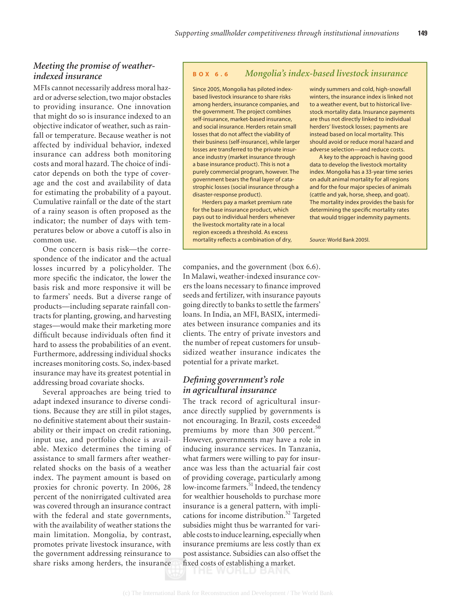# *Meeting the promise of weatherindexed insurance*

MFIs cannot necessarily address moral hazard or adverse selection, two major obstacles to providing insurance. One innovation that might do so is insurance indexed to an objective indicator of weather, such as rainfall or temperature. Because weather is not affected by individual behavior, indexed insurance can address both monitoring costs and moral hazard. The choice of indicator depends on both the type of coverage and the cost and availability of data for estimating the probability of a payout. Cumulative rainfall or the date of the start of a rainy season is often proposed as the indicator; the number of days with temperatures below or above a cutoff is also in common use.

One concern is basis risk—the correspondence of the indicator and the actual losses incurred by a policyholder. The more specific the indicator, the lower the basis risk and more responsive it will be to farmers' needs. But a diverse range of products—including separate rainfall contracts for planting, growing, and harvesting stages—would make their marketing more difficult because individuals often find it hard to assess the probabilities of an event. Furthermore, addressing individual shocks increases monitoring costs. So, index-based insurance may have its greatest potential in addressing broad covariate shocks.

Several approaches are being tried to adapt indexed insurance to diverse conditions. Because they are still in pilot stages, no definitive statement about their sustainability or their impact on credit rationing, input use, and portfolio choice is available. Mexico determines the timing of assistance to small farmers after weatherrelated shocks on the basis of a weather index. The payment amount is based on proxies for chronic poverty. In 2006, 28 percent of the nonirrigated cultivated area was covered through an insurance contract with the federal and state governments, with the availability of weather stations the main limitation. Mongolia, by contrast, promotes private livestock insurance, with the government addressing reinsurance to share risks among herders, the insurance

#### **BOX 6.6** *Mongolia's index-based livestock insurance*

Since 2005, Mongolia has piloted indexbased livestock insurance to share risks among herders, insurance companies, and the government. The project combines self-insurance, market-based insurance, and social insurance. Herders retain small losses that do not affect the viability of their business (self-insurance), while larger losses are transferred to the private insurance industry (market insurance through a base insurance product). This is not a purely commercial program, however. The government bears the final layer of catastrophic losses (social insurance through a disaster-response product).

Herders pay a market premium rate for the base insurance product, which pays out to individual herders whenever the livestock mortality rate in a local region exceeds a threshold. As excess mortality reflects a combination of dry,

windy summers and cold, high-snowfall winters, the insurance index is linked not to a weather event, but to historical livestock mortality data. Insurance payments are thus not directly linked to individual herders' livestock losses; payments are instead based on local mortality. This should avoid or reduce moral hazard and adverse selection—and reduce costs.

A key to the approach is having good data to develop the livestock mortality index. Mongolia has a 33-year time series on adult animal mortality for all regions and for the four major species of animals (cattle and yak, horse, sheep, and goat). The mortality index provides the basis for determining the specific mortality rates that would trigger indemnity payments.

*Source:* World Bank 2005l.

companies, and the government (box 6.6). In Malawi, weather-indexed insurance covers the loans necessary to finance improved seeds and fertilizer, with insurance payouts going directly to banks to settle the farmers' loans. In India, an MFI, BASIX, intermediates between insurance companies and its clients. The entry of private investors and the number of repeat customers for unsubsidized weather insurance indicates the potential for a private market.

## *Defi ning government's role in agricultural insurance*

The track record of agricultural insurance directly supplied by governments is not encouraging. In Brazil, costs exceeded premiums by more than 300 percent.<sup>50</sup> However, governments may have a role in inducing insurance services. In Tanzania, what farmers were willing to pay for insurance was less than the actuarial fair cost of providing coverage, particularly among low-income farmers.<sup>51</sup> Indeed, the tendency for wealthier households to purchase more insurance is a general pattern, with implications for income distribution.<sup>52</sup> Targeted subsidies might thus be warranted for variable costs to induce learning, especially when insurance premiums are less costly than ex post assistance. Subsidies can also offset the fixed costs of establishing a market.

(c) The International Bank for Reconstruction and Development / The World Bank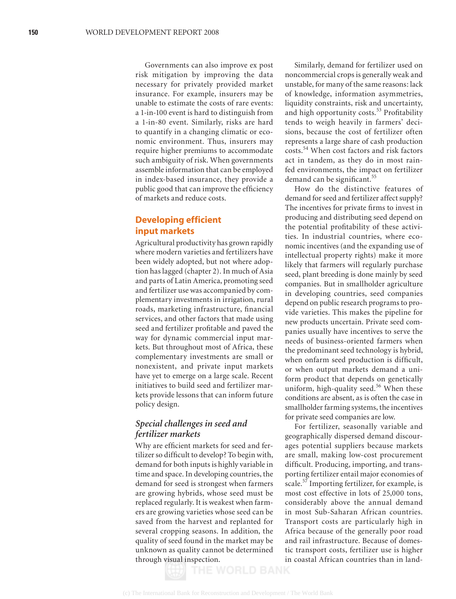Governments can also improve ex post risk mitigation by improving the data necessary for privately provided market insurance. For example, insurers may be unable to estimate the costs of rare events: a 1-in-100 event is hard to distinguish from a 1-in-80 event. Similarly, risks are hard to quantify in a changing climatic or economic environment. Thus, insurers may require higher premiums to accommodate such ambiguity of risk. When governments assemble information that can be employed in index-based insurance, they provide a public good that can improve the efficiency of markets and reduce costs.

# **Developing efficient input markets**

Agricultural productivity has grown rapidly where modern varieties and fertilizers have been widely adopted, but not where adoption has lagged (chapter 2). In much of Asia and parts of Latin America, promoting seed and fertilizer use was accompanied by complementary investments in irrigation, rural roads, marketing infrastructure, financial services, and other factors that made using seed and fertilizer profitable and paved the way for dynamic commercial input markets. But throughout most of Africa, these complementary investments are small or nonexistent, and private input markets have yet to emerge on a large scale. Recent initiatives to build seed and fertilizer markets provide lessons that can inform future policy design.

#### *Special challenges in seed and fertilizer markets*

Why are efficient markets for seed and fertilizer so difficult to develop? To begin with, demand for both inputs is highly variable in time and space. In developing countries, the demand for seed is strongest when farmers are growing hybrids, whose seed must be replaced regularly. It is weakest when farmers are growing varieties whose seed can be saved from the harvest and replanted for several cropping seasons. In addition, the quality of seed found in the market may be unknown as quality cannot be determined through visual inspection.

Similarly, demand for fertilizer used on noncommercial crops is generally weak and unstable, for many of the same reasons: lack of knowledge, information asymmetries, liquidity constraints, risk and uncertainty, and high opportunity costs.<sup>53</sup> Profitability tends to weigh heavily in farmers' decisions, because the cost of fertilizer often represents a large share of cash production costs.54 When cost factors and risk factors act in tandem, as they do in most rainfed environments, the impact on fertilizer demand can be significant.<sup>55</sup>

How do the distinctive features of demand for seed and fertilizer affect supply? The incentives for private firms to invest in producing and distributing seed depend on the potential profitability of these activities. In industrial countries, where economic incentives (and the expanding use of intellectual property rights) make it more likely that farmers will regularly purchase seed, plant breeding is done mainly by seed companies. But in smallholder agriculture in developing countries, seed companies depend on public research programs to provide varieties. This makes the pipeline for new products uncertain. Private seed companies usually have incentives to serve the needs of business-oriented farmers when the predominant seed technology is hybrid, when onfarm seed production is difficult, or when output markets demand a uniform product that depends on genetically uniform, high-quality seed. $56$  When these conditions are absent, as is often the case in smallholder farming systems, the incentives for private seed companies are low.

For fertilizer, seasonally variable and geographically dispersed demand discourages potential suppliers because markets are small, making low-cost procurement difficult. Producing, importing, and transporting fertilizer entail major economies of scale.<sup>57</sup> Importing fertilizer, for example, is most cost effective in lots of 25,000 tons, considerably above the annual demand in most Sub-Saharan African countries. Transport costs are particularly high in Africa because of the generally poor road and rail infrastructure. Because of domestic transport costs, fertilizer use is higher in coastal African countries than in land-



<sup>(</sup>c) The International Bank for Reconstruction and Development / The World Bank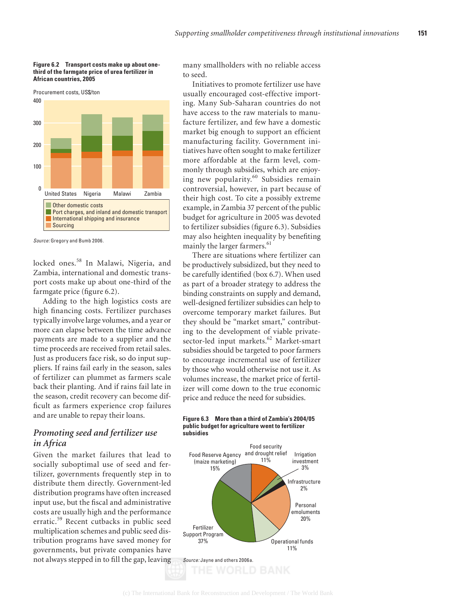#### **Figure 6.2 Transport costs make up about onethird of the farmgate price of urea fertilizer in African countries, 2005**



Source: Gregory and Bumb 2006.

locked ones.<sup>58</sup> In Malawi, Nigeria, and Zambia, international and domestic transport costs make up about one-third of the farmgate price (figure 6.2).

Adding to the high logistics costs are high financing costs. Fertilizer purchases typically involve large volumes, and a year or more can elapse between the time advance payments are made to a supplier and the time proceeds are received from retail sales. Just as producers face risk, so do input suppliers. If rains fail early in the season, sales of fertilizer can plummet as farmers scale back their planting. And if rains fail late in the season, credit recovery can become difficult as farmers experience crop failures and are unable to repay their loans.

#### *Promoting seed and fertilizer use in Africa*

Given the market failures that lead to socially suboptimal use of seed and fertilizer, governments frequently step in to distribute them directly. Government-led distribution programs have often increased input use, but the fiscal and administrative costs are usually high and the performance erratic.<sup>59</sup> Recent cutbacks in public seed multiplication schemes and public seed distribution programs have saved money for governments, but private companies have not always stepped in to fill the gap, leaving many smallholders with no reliable access to seed.

Initiatives to promote fertilizer use have usually encouraged cost-effective importing. Many Sub-Saharan countries do not have access to the raw materials to manufacture fertilizer, and few have a domestic market big enough to support an efficient manufacturing facility. Government initiatives have often sought to make fertilizer more affordable at the farm level, commonly through subsidies, which are enjoying new popularity.<sup>60</sup> Subsidies remain controversial, however, in part because of their high cost. To cite a possibly extreme example, in Zambia 37 percent of the public budget for agriculture in 2005 was devoted to fertilizer subsidies (figure 6.3). Subsidies may also heighten inequality by benefiting mainly the larger farmers.<sup>61</sup>

There are situations where fertilizer can be productively subsidized, but they need to be carefully identified (box 6.7). When used as part of a broader strategy to address the binding constraints on supply and demand, well-designed fertilizer subsidies can help to overcome temporary market failures. But they should be "market smart," contributing to the development of viable privatesector-led input markets.<sup>62</sup> Market-smart subsidies should be targeted to poor farmers to encourage incremental use of fertilizer by those who would otherwise not use it. As volumes increase, the market price of fertilizer will come down to the true economic price and reduce the need for subsidies.

#### **Figure 6.3 More than a third of Zambia's 2004/05 public budget for agriculture went to fertilizer subsidies**



(c) The International Bank for Reconstruction and Development / The World Bank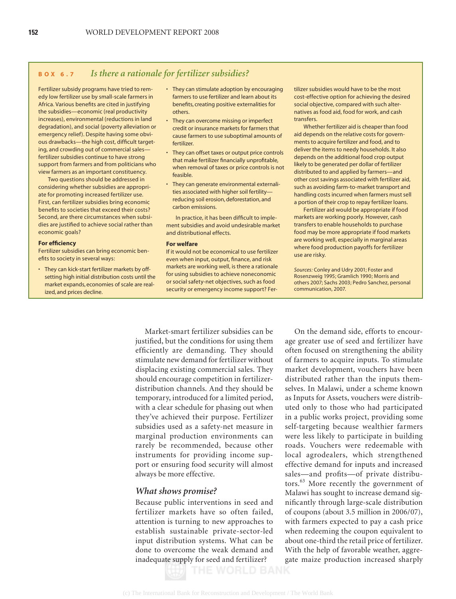## **BOX 6.7** *Is there a rationale for fertilizer subsidies?*

Fertilizer subsidy programs have tried to remedy low fertilizer use by small-scale farmers in Africa. Various benefits are cited in justifying the subsidies—economic (real productivity increases), environmental (reductions in land degradation), and social (poverty alleviation or emergency relief). Despite having some obvious drawbacks-the high cost, difficult targeting, and crowding out of commercial sales fertilizer subsidies continue to have strong support from farmers and from politicians who view farmers as an important constituency.

Two questions should be addressed in considering whether subsidies are appropriate for promoting increased fertilizer use. First, can fertilizer subsidies bring economic benefits to societies that exceed their costs? Second, are there circumstances when subsidies are justified to achieve social rather than economic goals?

#### **For efficiency**

Fertilizer subsidies can bring economic benefits to society in several ways:

• They can kick-start fertilizer markets by offsetting high initial distribution costs until the market expands, economies of scale are realized, and prices decline.

- They can stimulate adoption by encouraging farmers to use fertilizer and learn about its benefits, creating positive externalities for others.
- They can overcome missing or imperfect credit or insurance markets for farmers that cause farmers to use suboptimal amounts of fertilizer.
- They can offset taxes or output price controls that make fertilizer financially unprofitable, when removal of taxes or price controls is not feasible.
- They can generate environmental externalities associated with higher soil fertility reducing soil erosion, deforestation, and carbon emissions.

In practice, it has been difficult to implement subsidies and avoid undesirable market and distributional effects.

#### **For welfare**

If it would not be economical to use fertilizer even when input, output, finance, and risk markets are working well, is there a rationale for using subsidies to achieve noneconomic or social safety-net objectives, such as food security or emergency income support? Fertilizer subsidies would have to be the most cost-effective option for achieving the desired social objective, compared with such alternatives as food aid, food for work, and cash transfers.

Whether fertilizer aid is cheaper than food aid depends on the relative costs for governments to acquire fertilizer and food, and to deliver the items to needy households. It also depends on the additional food crop output likely to be generated per dollar of fertilizer distributed to and applied by farmers—and other cost savings associated with fertilizer aid, such as avoiding farm-to-market transport and handling costs incurred when farmers must sell a portion of their crop to repay fertilizer loans.

Fertilizer aid would be appropriate if food markets are working poorly. However, cash transfers to enable households to purchase food may be more appropriate if food markets are working well, especially in marginal areas where food production payoffs for fertilizer use are risky.

*Sources:* Conley and Udry 2001; Foster and Rosenzweig 1995; Gramlich 1990; Morris and others 2007; Sachs 2003; Pedro Sanchez, personal communication, 2007.

Market-smart fertilizer subsidies can be justified, but the conditions for using them efficiently are demanding. They should stimulate new demand for fertilizer without displacing existing commercial sales. They should encourage competition in fertilizerdistribution channels. And they should be temporary, introduced for a limited period, with a clear schedule for phasing out when they've achieved their purpose. Fertilizer subsidies used as a safety-net measure in marginal production environments can rarely be recommended, because other instruments for providing income support or ensuring food security will almost always be more effective.

#### *What shows promise?*

Because public interventions in seed and fertilizer markets have so often failed, attention is turning to new approaches to establish sustainable private-sector-led input distribution systems. What can be done to overcome the weak demand and inadequate supply for seed and fertilizer?

On the demand side, efforts to encourage greater use of seed and fertilizer have often focused on strengthening the ability of farmers to acquire inputs. To stimulate market development, vouchers have been distributed rather than the inputs themselves. In Malawi, under a scheme known as Inputs for Assets, vouchers were distributed only to those who had participated in a public works project, providing some self-targeting because wealthier farmers were less likely to participate in building roads. Vouchers were redeemable with local agrodealers, which strengthened effective demand for inputs and increased sales—and profits—of private distributors.63 More recently the government of Malawi has sought to increase demand significantly through large-scale distribution of coupons (about 3.5 million in 2006/07), with farmers expected to pay a cash price when redeeming the coupon equivalent to about one-third the retail price of fertilizer. With the help of favorable weather, aggregate maize production increased sharply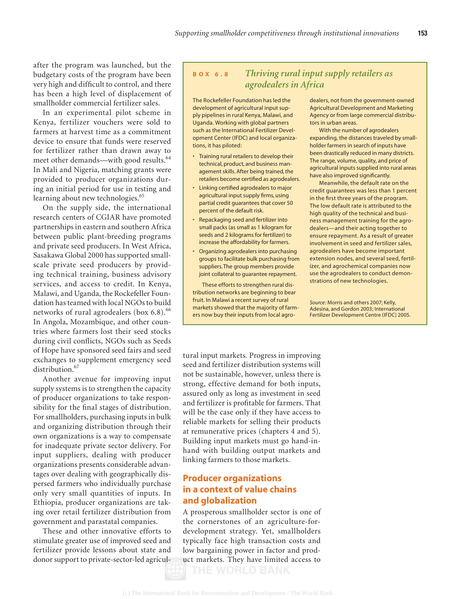after the program was launched, but the budgetary costs of the program have been very high and difficult to control, and there has been a high level of displacement of smallholder commercial fertilizer sales.

In an experimental pilot scheme in Kenya, fertilizer vouchers were sold to farmers at harvest time as a commitment device to ensure that funds were reserved for fertilizer rather than drawn away to meet other demands—with good results.<sup>64</sup> In Mali and Nigeria, matching grants were provided to producer organizations during an initial period for use in testing and learning about new technologies.<sup>65</sup>

On the supply side, the international research centers of CGIAR have promoted partnerships in eastern and southern Africa between public plant-breeding programs and private seed producers. In West Africa, Sasakawa Global 2000 has supported smallscale private seed producers by providing technical training, business advisory services, and access to credit. In Kenya, Malawi, and Uganda, the Rockefeller Foundation has teamed with local NGOs to build networks of rural agrodealers (box  $6.8$ ).<sup>66</sup> In Angola, Mozambique, and other countries where farmers lost their seed stocks during civil conflicts, NGOs such as Seeds of Hope have sponsored seed fairs and seed exchanges to supplement emergency seed distribution.<sup>67</sup>

Another avenue for improving input supply systems is to strengthen the capacity of producer organizations to take responsibility for the final stages of distribution. For smallholders, purchasing inputs in bulk and organizing distribution through their own organizations is a way to compensate for inadequate private sector delivery. For input suppliers, dealing with producer organizations presents considerable advantages over dealing with geographically dispersed farmers who individually purchase only very small quantities of inputs. In Ethiopia, producer organizations are taking over retail fertilizer distribution from government and parastatal companies.

These and other innovative efforts to stimulate greater use of improved seed and fertilizer provide lessons about state and donor support to private-sector-led agricul-

# **BOX 6.8** *Thriving rural input supply retailers as agrodealers in Africa*

The Rockefeller Foundation has led the development of agricultural input supply pipelines in rural Kenya, Malawi, and Uganda. Working with global partners such as the International Fertilizer Development Center (IFDC) and local organizations, it has piloted:

- Training rural retailers to develop their technical, product, and business management skills. After being trained, the retailers become certified as agrodealers.
- Linking certified agrodealers to major agricultural input supply firms, using partial credit guarantees that cover 50 percent of the default risk.
- Repackaging seed and fertilizer into small packs (as small as 1 kilogram for seeds and 2 kilograms for fertilizer) to increase the affordability for farmers.
- Organizing agrodealers into purchasing groups to facilitate bulk purchasing from suppliers. The group members provide joint collateral to guarantee repayment.

These efforts to strengthen rural distribution networks are beginning to bear fruit. In Malawi a recent survey of rural markets showed that the majority of farmers now buy their inputs from local agrodealers, not from the government-owned Agricultural Development and Marketing Agency or from large commercial distributors in urban areas.

With the number of agrodealers expanding, the distances traveled by smallholder farmers in search of inputs have been drastically reduced in many districts. The range, volume, quality, and price of agricultural inputs supplied into rural areas have also improved significantly.

Meanwhile, the default rate on the credit guarantees was less than 1 percent in the first three years of the program. The low default rate is attributed to the high quality of the technical and business management training for the agrodealers—and their acting together to ensure repayment. As a result of greater involvement in seed and fertilizer sales, agrodealers have become important extension nodes, and several seed, fertilizer, and agrochemical companies now use the agrodealers to conduct demonstrations of new technologies.

*Source:* Morris and others 2007; Kelly, Adesina, and Gordon 2003; International Fertilizer Development Centre (IFDC) 2005.

tural input markets. Progress in improving seed and fertilizer distribution systems will not be sustainable, however, unless there is strong, effective demand for both inputs, assured only as long as investment in seed and fertilizer is profitable for farmers. That will be the case only if they have access to reliable markets for selling their products at remunerative prices (chapters 4 and 5). Building input markets must go hand-inhand with building output markets and linking farmers to those markets.

# **Producer organizations in a context of value chains and globalization**

A prosperous smallholder sector is one of the cornerstones of an agriculture-fordevelopment strategy. Yet, smallholders typically face high transaction costs and low bargaining power in factor and product markets. They have limited access to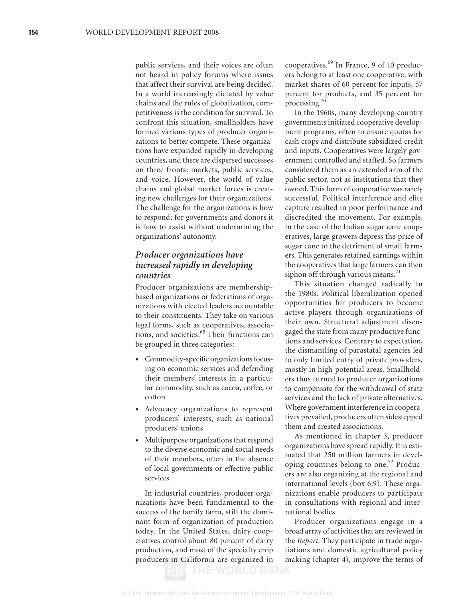public services, and their voices are often not heard in policy forums where issues that affect their survival are being decided. In a world increasingly dictated by value chains and the rules of globalization, competitiveness is the condition for survival. To confront this situation, smallholders have formed various types of producer organizations to better compete. These organizations have expanded rapidly in developing countries, and there are dispersed successes on three fronts: markets, public services, and voice. However, the world of value chains and global market forces is creating new challenges for their organizations. The challenge for the organizations is how to respond; for governments and donors it is how to assist without undermining the organizations' autonomy.

## *Producer organizations have increased rapidly in developing countries*

Producer organizations are membershipbased organizations or federations of organizations with elected leaders accountable to their constituents. They take on various legal forms, such as cooperatives, associations, and societies.<sup>68</sup> Their functions can be grouped in three categories:

- Commodity-specific organizations focusing on economic services and defending their members' interests in a particular commodity, such as cocoa, coffee, or cotton
- Advocacy organizations to represent producers' interests, such as national producers' unions
- Multipurpose organizations that respond to the diverse economic and social needs of their members, often in the absence of local governments or effective public services

In industrial countries, producer organizations have been fundamental to the success of the family farm, still the dominant form of organization of production today. In the United States, dairy cooperatives control about 80 percent of dairy production, and most of the specialty crop producers in California are organized in cooperatives.69 In France, 9 of 10 producers belong to at least one cooperative, with market shares of 60 percent for inputs, 57 percent for products, and 35 percent for processing.70

In the 1960s, many developing-country governments initiated cooperative development programs, often to ensure quotas for cash crops and distribute subsidized credit and inputs. Cooperatives were largely government controlled and staffed. So farmers considered them as an extended arm of the public sector, not as institutions that they owned. This form of cooperative was rarely successful. Political interference and elite capture resulted in poor performance and discredited the movement. For example, in the case of the Indian sugar cane cooperatives, large growers depress the price of sugar cane to the detriment of small farmers. This generates retained earnings within the cooperatives that large farmers can then siphon off through various means.<sup>71</sup>

This situation changed radically in the 1980s. Political liberalization opened opportunities for producers to become active players through organizations of their own. Structural adjustment disengaged the state from many productive functions and services. Contrary to expectation, the dismantling of parastatal agencies led to only limited entry of private providers, mostly in high-potential areas. Smallholders thus turned to producer organizations to compensate for the withdrawal of state services and the lack of private alternatives. Where government interference in cooperatives prevailed, producers often sidestepped them and created associations.

As mentioned in chapter 3, producer organizations have spread rapidly. It is estimated that 250 million farmers in developing countries belong to one.<sup>72</sup> Producers are also organizing at the regional and international levels (box 6.9). These organizations enable producers to participate in consultations with regional and international bodies.

Producer organizations engage in a broad array of activities that are reviewed in the *Report.* They participate in trade negotiations and domestic agricultural policy making (chapter 4), improve the terms of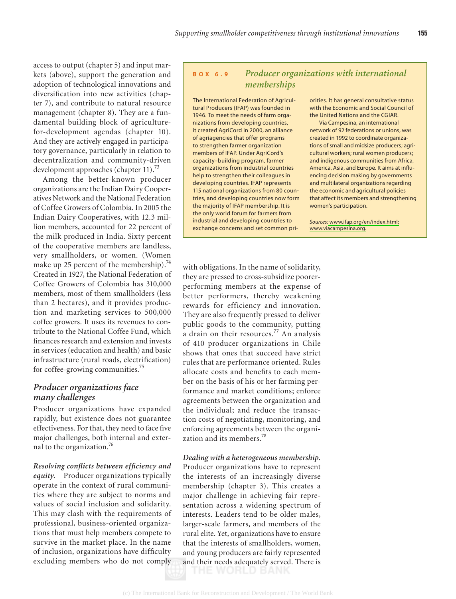access to output (chapter 5) and input markets (above), support the generation and adoption of technological innovations and diversification into new activities (chapter 7), and contribute to natural resource management (chapter 8). They are a fundamental building block of agriculturefor-development agendas (chapter 10). And they are actively engaged in participatory governance, particularly in relation to decentralization and community-driven development approaches (chapter 11).<sup>73</sup>

Among the better-known producer organizations are the Indian Dairy Cooperatives Network and the National Federation of Coffee Growers of Colombia. In 2005 the Indian Dairy Cooperatives, with 12.3 million members, accounted for 22 percent of the milk produced in India. Sixty percent of the cooperative members are landless, very smallholders, or women. (Women make up 25 percent of the membership). $^{74}$ Created in 1927, the National Federation of Coffee Growers of Colombia has 310,000 members, most of them smallholders (less than 2 hectares), and it provides production and marketing services to 500,000 coffee growers. It uses its revenues to contribute to the National Coffee Fund, which finances research and extension and invests in services (education and health) and basic infrastructure (rural roads, electrification) for coffee-growing communities.<sup>75</sup>

#### *Producer organizations face many challenges*

Producer organizations have expanded rapidly, but existence does not guarantee effectiveness. For that, they need to face five major challenges, both internal and external to the organization.<sup>76</sup>

*Resolving confl icts between effi ciency and equity.* Producer organizations typically operate in the context of rural communities where they are subject to norms and values of social inclusion and solidarity. This may clash with the requirements of professional, business-oriented organizations that must help members compete to survive in the market place. In the name of inclusion, organizations have difficulty excluding members who do not comply

# **BOX 6.9** *Producer organizations with international memberships*

The International Federation of Agricultural Producers (IFAP) was founded in 1946. To meet the needs of farm organizations from developing countries, it created AgriCord in 2000, an alliance of agriagencies that offer programs to strengthen farmer organization members of IFAP. Under AgriCord's capacity–building program, farmer organizations from industrial countries help to strengthen their colleagues in developing countries. IFAP represents 115 national organizations from 80 countries, and developing countries now form the majority of IFAP membership. It is the only world forum for farmers from industrial and developing countries to exchange concerns and set common priorities. It has general consultative status with the Economic and Social Council of the United Nations and the CGIAR.

Via Campesina, an international network of 92 federations or unions, was created in 1992 to coordinate organizations of small and midsize producers; agricultural workers; rural women producers; and indigenous communities from Africa, America, Asia, and Europe. It aims at influencing decision making by governments and multilateral organizations regarding the economic and agricultural policies that affect its members and strengthening women's participation.

*Sources:* [www.ifap.org/en/index.html;](http://www.ifap.org/en/index.html) [www.viacampesina.org.](http://www.viacampesina.org)

with obligations. In the name of solidarity, they are pressed to cross-subsidize poorerperforming members at the expense of better performers, thereby weakening rewards for efficiency and innovation. They are also frequently pressed to deliver public goods to the community, putting a drain on their resources.77 An analysis of 410 producer organizations in Chile shows that ones that succeed have strict rules that are performance oriented. Rules allocate costs and benefits to each member on the basis of his or her farming performance and market conditions; enforce agreements between the organization and the individual; and reduce the transaction costs of negotiating, monitoring, and enforcing agreements between the organization and its members.78

*Dealing with a heterogeneous membership.* 

Producer organizations have to represent the interests of an increasingly diverse membership (chapter 3). This creates a major challenge in achieving fair representation across a widening spectrum of interests. Leaders tend to be older males, larger-scale farmers, and members of the rural elite. Yet, organizations have to ensure that the interests of smallholders, women, and young producers are fairly represented and their needs adequately served. There is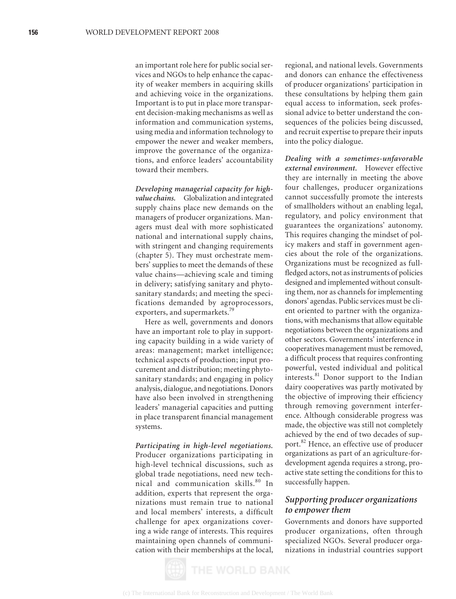an important role here for public social services and NGOs to help enhance the capacity of weaker members in acquiring skills and achieving voice in the organizations. Important is to put in place more transparent decision-making mechanisms as well as information and communication systems, using media and information technology to empower the newer and weaker members, improve the governance of the organizations, and enforce leaders' accountability toward their members.

*Developing managerial capacity for highvalue chains.* Globalization and integrated supply chains place new demands on the managers of producer organizations. Managers must deal with more sophisticated national and international supply chains, with stringent and changing requirements (chapter 5). They must orchestrate members' supplies to meet the demands of these value chains—achieving scale and timing in delivery; satisfying sanitary and phytosanitary standards; and meeting the specifications demanded by agroprocessors, exporters, and supermarkets.<sup>79</sup>

Here as well, governments and donors have an important role to play in supporting capacity building in a wide variety of areas: management; market intelligence; technical aspects of production; input procurement and distribution; meeting phytosanitary standards; and engaging in policy analysis, dialogue, and negotiations. Donors have also been involved in strengthening leaders' managerial capacities and putting in place transparent financial management systems.

*Participating in high-level negotiations.*  Producer organizations participating in high-level technical discussions, such as global trade negotiations, need new technical and communication skills.<sup>80</sup> In addition, experts that represent the organizations must remain true to national and local members' interests, a difficult challenge for apex organizations covering a wide range of interests. This requires maintaining open channels of communication with their memberships at the local, regional, and national levels. Governments and donors can enhance the effectiveness of producer organizations' participation in these consultations by helping them gain equal access to information, seek professional advice to better understand the consequences of the policies being discussed, and recruit expertise to prepare their inputs into the policy dialogue.

*Dealing with a sometimes-unfavorable external environment.* However effective they are internally in meeting the above four challenges, producer organizations cannot successfully promote the interests of smallholders without an enabling legal, regulatory, and policy environment that guarantees the organizations' autonomy. This requires changing the mindset of policy makers and staff in government agencies about the role of the organizations. Organizations must be recognized as fullfledged actors, not as instruments of policies designed and implemented without consulting them, nor as channels for implementing donors' agendas. Public services must be client oriented to partner with the organizations, with mechanisms that allow equitable negotiations between the organizations and other sectors. Governments' interference in cooperatives management must be removed, a difficult process that requires confronting powerful, vested individual and political interests.<sup>81</sup> Donor support to the Indian dairy cooperatives was partly motivated by the objective of improving their efficiency through removing government interference. Although considerable progress was made, the objective was still not completely achieved by the end of two decades of support.<sup>82</sup> Hence, an effective use of producer organizations as part of an agriculture-fordevelopment agenda requires a strong, proactive state setting the conditions for this to successfully happen.

# *Supporting producer organizations to empower them*

Governments and donors have supported producer organizations, often through specialized NGOs. Several producer organizations in industrial countries support